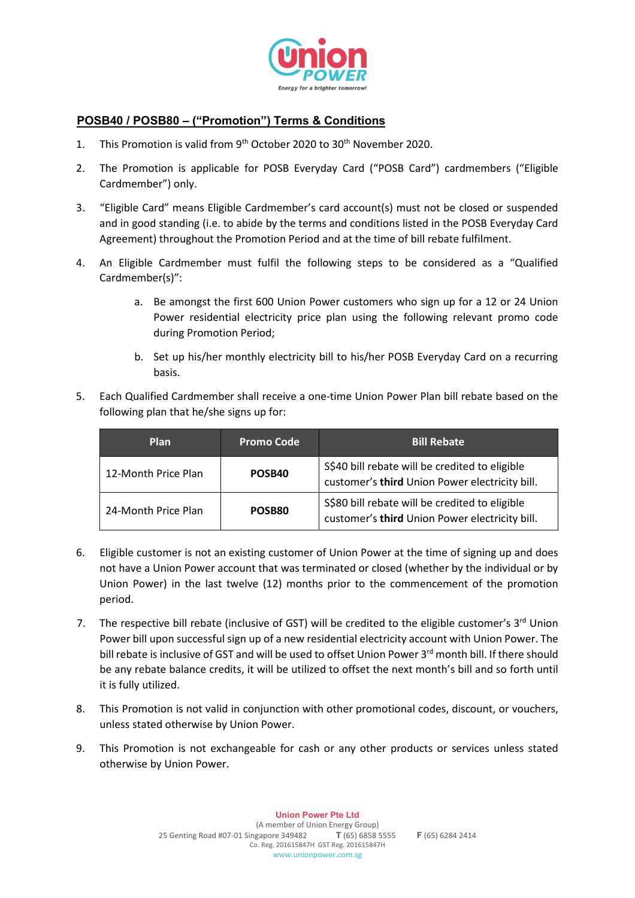

## **POSB40 / POSB80 – ("Promotion") Terms & Conditions**

- 1. This Promotion is valid from 9<sup>th</sup> October 2020 to 30<sup>th</sup> November 2020.
- 2. The Promotion is applicable for POSB Everyday Card ("POSB Card") cardmembers ("Eligible Cardmember") only.
- 3. "Eligible Card" means Eligible Cardmember's card account(s) must not be closed or suspended and in good standing (i.e. to abide by the terms and conditions listed in the POSB Everyday Card Agreement) throughout the Promotion Period and at the time of bill rebate fulfilment.
- 4. An Eligible Cardmember must fulfil the following steps to be considered as a "Qualified Cardmember(s)":
	- a. Be amongst the first 600 Union Power customers who sign up for a 12 or 24 Union Power residential electricity price plan using the following relevant promo code during Promotion Period;
	- b. Set up his/her monthly electricity bill to his/her POSB Everyday Card on a recurring basis.
- 5. Each Qualified Cardmember shall receive a one-time Union Power Plan bill rebate based on the following plan that he/she signs up for:

| <b>Plan</b>         | <b>Promo Code</b> | <b>Bill Rebate</b>                                                                               |
|---------------------|-------------------|--------------------------------------------------------------------------------------------------|
| 12-Month Price Plan | POSB40            | S\$40 bill rebate will be credited to eligible<br>customer's third Union Power electricity bill. |
| 24-Month Price Plan | POSB80            | S\$80 bill rebate will be credited to eligible<br>customer's third Union Power electricity bill. |

- 6. Eligible customer is not an existing customer of Union Power at the time of signing up and does not have a Union Power account that was terminated or closed (whether by the individual or by Union Power) in the last twelve (12) months prior to the commencement of the promotion period.
- 7. The respective bill rebate (inclusive of GST) will be credited to the eligible customer's 3<sup>rd</sup> Union Power bill upon successful sign up of a new residential electricity account with Union Power. The bill rebate is inclusive of GST and will be used to offset Union Power 3<sup>rd</sup> month bill. If there should be any rebate balance credits, it will be utilized to offset the next month's bill and so forth until it is fully utilized.
- 8. This Promotion is not valid in conjunction with other promotional codes, discount, or vouchers, unless stated otherwise by Union Power.
- 9. This Promotion is not exchangeable for cash or any other products or services unless stated otherwise by Union Power.